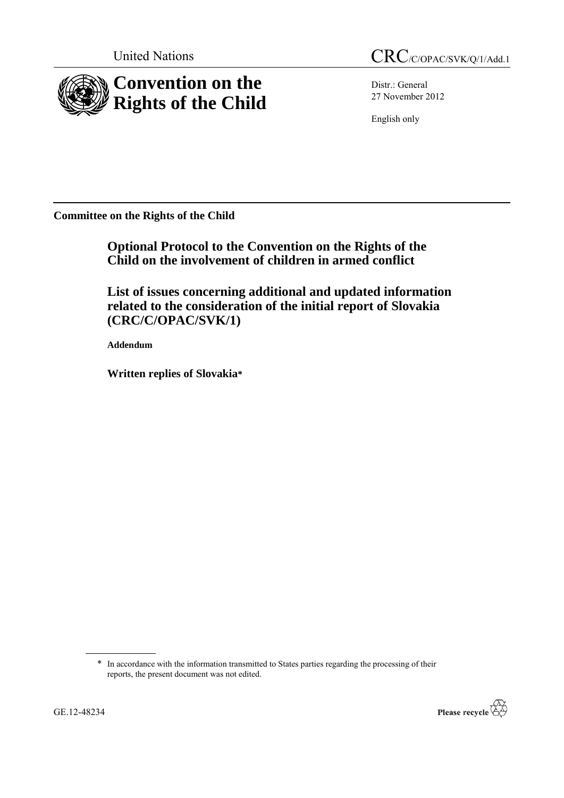

Distr.: General 27 November 2012

English only

**Committee on the Rights of the Child**

**Optional Protocol to the Convention on the Rights of the Child on the involvement of children in armed conflict**

**List of issues concerning additional and updated information related to the consideration of the initial report of Slovakia (CRC/C/OPAC/SVK/1)**

**Addendum**

**Written replies of Slovakia\***

\* In accordance with the information transmitted to States parties regarding the processing of their reports, the present document was not edited.

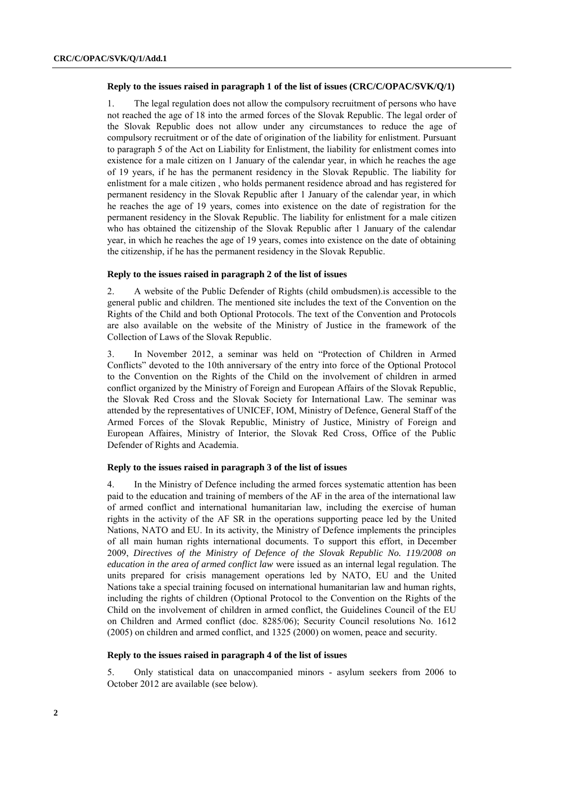## **Reply to the issues raised in paragraph 1 of the list of issues (CRC/C/OPAC/SVK/Q/1)**

1. The legal regulation does not allow the compulsory recruitment of persons who have not reached the age of 18 into the armed forces of the Slovak Republic. The legal order of the Slovak Republic does not allow under any circumstances to reduce the age of compulsory recruitment or of the date of origination of the liability for enlistment. Pursuant to paragraph 5 of the Act on Liability for Enlistment, the liability for enlistment comes into existence for a male citizen on 1 January of the calendar year, in which he reaches the age of 19 years, if he has the permanent residency in the Slovak Republic. The liability for enlistment for a male citizen , who holds permanent residence abroad and has registered for permanent residency in the Slovak Republic after 1 January of the calendar year, in which he reaches the age of 19 years, comes into existence on the date of registration for the permanent residency in the Slovak Republic. The liability for enlistment for a male citizen who has obtained the citizenship of the Slovak Republic after 1 January of the calendar year, in which he reaches the age of 19 years, comes into existence on the date of obtaining the citizenship, if he has the permanent residency in the Slovak Republic.

# **Reply to the issues raised in paragraph 2 of the list of issues**

2. A website of the Public Defender of Rights (child ombudsmen).is accessible to the general public and children. The mentioned site includes the text of the Convention on the Rights of the Child and both Optional Protocols. The text of the Convention and Protocols are also available on the website of the Ministry of Justice in the framework of the Collection of Laws of the Slovak Republic.

3. In November 2012, a seminar was held on "Protection of Children in Armed Conflicts" devoted to the 10th anniversary of the entry into force of the Optional Protocol to the Convention on the Rights of the Child on the involvement of children in armed conflict organized by the Ministry of Foreign and European Affairs of the Slovak Republic, the Slovak Red Cross and the Slovak Society for International Law. The seminar was attended by the representatives of UNICEF, IOM, Ministry of Defence, General Staff of the Armed Forces of the Slovak Republic, Ministry of Justice, Ministry of Foreign and European Affaires, Ministry of Interior, the Slovak Red Cross, Office of the Public Defender of Rights and Academia.

### **Reply to the issues raised in paragraph 3 of the list of issues**

4. In the Ministry of Defence including the armed forces systematic attention has been paid to the education and training of members of the AF in the area of the international law of armed conflict and international humanitarian law, including the exercise of human rights in the activity of the AF SR in the operations supporting peace led by the United Nations, NATO and EU. In its activity, the Ministry of Defence implements the principles of all main human rights international documents. To support this effort, in December 2009, *Directives of the Ministry of Defence of the Slovak Republic No. 119/2008 on education in the area of armed conflict law* were issued as an internal legal regulation. The units prepared for crisis management operations led by NATO, EU and the United Nations take a special training focused on international humanitarian law and human rights, including the rights of children (Optional Protocol to the Convention on the Rights of the Child on the involvement of children in armed conflict, the Guidelines Council of the EU on Children and Armed conflict (doc. 8285/06); Security Council resolutions No. 1612 (2005) on children and armed conflict, and 1325 (2000) on women, peace and security.

## **Reply to the issues raised in paragraph 4 of the list of issues**

5. Only statistical data on unaccompanied minors - asylum seekers from 2006 to October 2012 are available (see below).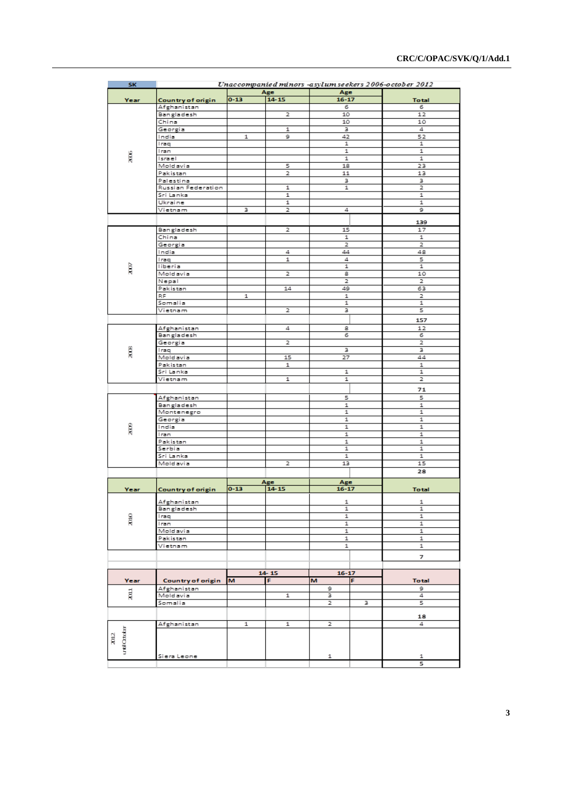| SK                 | Unaccompanied minors -asylum seekers 2006-october 2012 |           |           |              |   |                |
|--------------------|--------------------------------------------------------|-----------|-----------|--------------|---|----------------|
| Year               |                                                        | Age       |           | Age          |   |                |
|                    | Country of origin                                      | $0 - 13$  | $14 - 15$ | $16 - 17$    |   | <b>Total</b>   |
|                    | Afghanistan                                            |           |           | 6            |   | 6              |
|                    | Bangladesh                                             |           | 2         | 10           |   | 12             |
|                    | China                                                  |           |           | 10           |   | 10             |
|                    | Georgia<br>India                                       | 1         | 1<br>9    | з<br>42      |   | 4<br>52        |
|                    | Iraq                                                   |           |           | 1            |   | 1              |
|                    | Iran                                                   |           |           | 1            |   | 1              |
| ĝ                  | Israel                                                 |           | 1         |              |   | 1              |
|                    | Moldavia                                               |           | 5         | 18           |   | 23             |
|                    | Pakistan                                               |           | 2         | 11           |   | 13             |
|                    | Palestina                                              |           |           | з            |   | з              |
|                    | Russian Federation                                     |           | 1         | 1            |   | 2              |
|                    | Sri Lanka                                              |           | 1         |              |   | 1              |
|                    | Ukraine                                                |           | 1         |              |   | 1              |
|                    | Vietnam                                                | з         | 2         | 4            |   | 9              |
|                    |                                                        |           |           |              |   | 139            |
|                    | Bangladesh                                             |           | 2         | 15           |   | 17             |
|                    | China                                                  |           |           | $\mathbf{1}$ |   | 1              |
|                    | Georgia                                                |           |           | 2            |   | 2              |
|                    | India                                                  |           | 4         | 44           |   | 48             |
|                    | Iraq                                                   |           | 1         | 4            |   | 5              |
| à                  | liberia                                                |           |           | 1            |   | 1              |
|                    | Moldavia                                               |           | 2         | 8            |   | 10             |
|                    | Nepal                                                  |           |           | 2            |   | $\overline{2}$ |
|                    | Pakistan                                               |           | 14        | 49           |   | 63             |
|                    | RF.                                                    | 1         |           | 1            |   | 2              |
|                    | Somalia                                                |           |           | 1            |   | 1              |
|                    | Vietnam                                                |           | 2         | з            |   | 5              |
|                    |                                                        |           |           |              |   | 157            |
|                    | Afghanistan                                            |           | 4         | 8            |   | 12             |
|                    | Bangladesh                                             |           |           | 6            |   | 6              |
|                    | Georgia                                                |           | 2         |              |   | 2              |
| ĝ                  | Iraq                                                   |           |           | з            |   | з              |
|                    | Moldavia                                               |           | 15        | 27           |   | 44             |
|                    | Pakistan                                               |           | 1         |              |   | 1              |
|                    | Sri Lanka                                              |           |           | 1            |   | 1              |
|                    | Vietnam                                                |           | 1         | 1            |   | 2              |
|                    |                                                        |           |           |              |   | 71             |
|                    | Afghanistan                                            |           |           | 5            |   | 5              |
|                    | Bangladesh                                             |           |           | 1            |   | 1              |
|                    | Montenegro                                             |           |           | 1            |   | 1              |
|                    | Georgia                                                |           |           | 1            |   | 1              |
| gox                | India                                                  |           |           | $\mathbf{1}$ |   | 1              |
|                    | Iran                                                   |           |           | 1            |   | 1              |
|                    | Pakistan                                               |           |           | 1            |   | 1              |
|                    | Serbia                                                 |           |           | 1            |   | 1              |
|                    | Sri Lanka                                              |           |           | $\mathbf{1}$ |   | 1              |
|                    | Moldavia                                               |           | 2         | 13           |   | 15             |
|                    |                                                        |           |           |              |   | 28             |
|                    |                                                        |           | Age       | Age          |   |                |
| Year               | Country of origin                                      | $0 - 13$  | $14 - 15$ | $16 - 17$    |   | <b>Total</b>   |
|                    |                                                        |           |           |              |   |                |
| g                  | Afghanistan                                            |           |           | 1            |   | 1              |
|                    | Bangladesh                                             |           |           | 1            |   | 1              |
|                    | Iraq                                                   |           |           | 1            |   | 1              |
|                    | Iran                                                   |           |           | 1            |   | 1              |
|                    | Moldavia                                               |           |           | 1            |   | 1              |
|                    | Pakistan                                               |           |           | 1<br>1       |   | 1              |
|                    | Vietnam                                                |           |           |              |   | 1              |
|                    |                                                        |           |           |              |   | 7              |
|                    |                                                        |           |           |              |   |                |
|                    |                                                        | $14 - 15$ |           | $16 - 17$    |   |                |
| Year               | Country of origin                                      | M         | F         | M            | F | <b>Total</b>   |
| ä,                 | Afghanistan                                            |           |           | 9            |   | 9              |
|                    | Moldavia                                               |           | 1         | з            |   | 4              |
|                    | Somalia                                                |           |           | 2            | з | 5              |
|                    |                                                        |           |           |              |   |                |
|                    |                                                        |           |           |              |   | 18             |
|                    | Afghanistan                                            | 1         | 1         | 2            |   | 4              |
| until October<br>ã |                                                        |           |           |              |   |                |
|                    |                                                        |           |           |              |   |                |
|                    |                                                        |           |           |              |   |                |
|                    | Siera Leone                                            |           |           | 1            |   | 1              |
|                    |                                                        |           |           |              |   | 5              |